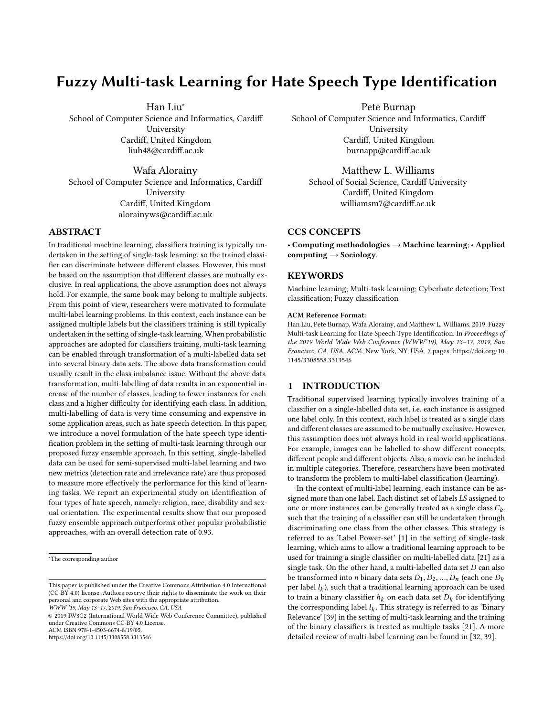# Fuzzy Multi-task Learning for Hate Speech Type Identification

Han Liu<sup>∗</sup>

School of Computer Science and Informatics, Cardiff University Cardiff, United Kingdom liuh48@cardiff.ac.uk

Wafa Alorainy School of Computer Science and Informatics, Cardiff University Cardiff, United Kingdom alorainyws@cardiff.ac.uk

# ABSTRACT

In traditional machine learning, classifiers training is typically undertaken in the setting of single-task learning, so the trained classifier can discriminate between different classes. However, this must be based on the assumption that different classes are mutually exclusive. In real applications, the above assumption does not always hold. For example, the same book may belong to multiple subjects. From this point of view, researchers were motivated to formulate multi-label learning problems. In this context, each instance can be assigned multiple labels but the classifiers training is still typically undertaken in the setting of single-task learning. When probabilistic approaches are adopted for classifiers training, multi-task learning can be enabled through transformation of a multi-labelled data set into several binary data sets. The above data transformation could usually result in the class imbalance issue. Without the above data transformation, multi-labelling of data results in an exponential increase of the number of classes, leading to fewer instances for each class and a higher difficulty for identifying each class. In addition, multi-labelling of data is very time consuming and expensive in some application areas, such as hate speech detection. In this paper, we introduce a novel formulation of the hate speech type identification problem in the setting of multi-task learning through our proposed fuzzy ensemble approach. In this setting, single-labelled data can be used for semi-supervised multi-label learning and two new metrics (detection rate and irrelevance rate) are thus proposed to measure more effectively the performance for this kind of learning tasks. We report an experimental study on identification of four types of hate speech, namely: religion, race, disability and sexual orientation. The experimental results show that our proposed fuzzy ensemble approach outperforms other popular probabilistic approaches, with an overall detection rate of 0.93.

WWW '19, May 13–17, 2019, San Francisco, CA, USA

© 2019 IW3C2 (International World Wide Web Conference Committee), published under Creative Commons CC-BY 4.0 License. ACM ISBN 978-1-4503-6674-8/19/05.

<https://doi.org/10.1145/3308558.3313546>

Pete Burnap

School of Computer Science and Informatics, Cardiff University Cardiff, United Kingdom burnapp@cardiff.ac.uk

Matthew L. Williams School of Social Science, Cardiff University Cardiff, United Kingdom williamsm7@cardiff.ac.uk

# CCS CONCEPTS

• Computing methodologies  $\rightarrow$  Machine learning; • Applied computing  $\rightarrow$  Sociology.

# **KEYWORDS**

Machine learning; Multi-task learning; Cyberhate detection; Text classification; Fuzzy classification

#### ACM Reference Format:

Han Liu, Pete Burnap, Wafa Alorainy, and Matthew L. Williams. 2019. Fuzzy Multi-task Learning for Hate Speech Type Identification. In Proceedings of the 2019 World Wide Web Conference (WWW'19), May 13–17, 2019, San Francisco, CA, USA. ACM, New York, NY, USA, [7](#page-6-0) pages. [https://doi.org/10.](https://doi.org/10.1145/3308558.3313546) [1145/3308558.3313546](https://doi.org/10.1145/3308558.3313546)

#### <span id="page-0-0"></span>1 INTRODUCTION

Traditional supervised learning typically involves training of a classifier on a single-labelled data set, i.e. each instance is assigned one label only. In this context, each label is treated as a single class and different classes are assumed to be mutually exclusive. However, this assumption does not always hold in real world applications. For example, images can be labelled to show different concepts, different people and different objects. Also, a movie can be included in multiple categories. Therefore, researchers have been motivated to transform the problem to multi-label classification (learning).

In the context of multi-label learning, each instance can be assigned more than one label. Each distinct set of labels LS assigned to one or more instances can be generally treated as a single class  $C_k$ ,<br>such that the training of a classifier can still be undertaken through such that the training of a classifier can still be undertaken through discriminating one class from the other classes. This strategy is referred to as 'Label Power-set' [\[1\]](#page-6-1) in the setting of single-task learning, which aims to allow a traditional learning approach to be used for training a single classifier on multi-labelled data [\[21\]](#page-6-2) as a single task. On the other hand, a multi-labelled data set  $D$  can also be transformed into *n* binary data sets  $D_1, D_2, ..., D_n$  (each one  $D_k$ ) per label  $l_k$ ), such that a traditional learning approach can be used<br>to train a binary classifier  $h_k$ , on each data set D+ for identifying to train a binary classifier  $h_k$  on each data set  $D_k$  for identifying<br>the corresponding label  $l$ . This strategy is referred to as 'Binary the corresponding label  $l_k$ . This strategy is referred to as 'Binary<br>Relevance' [39] in the setting of multi-task learning and the training Relevance' [\[39\]](#page-6-3) in the setting of multi-task learning and the training of the binary classifiers is treated as multiple tasks [\[21\]](#page-6-2). A more detailed review of multi-label learning can be found in [\[32,](#page-6-4) [39\]](#page-6-3).

<sup>∗</sup>The corresponding author

This paper is published under the Creative Commons Attribution 4.0 International (CC-BY 4.0) license. Authors reserve their rights to disseminate the work on their personal and corporate Web sites with the appropriate attribution.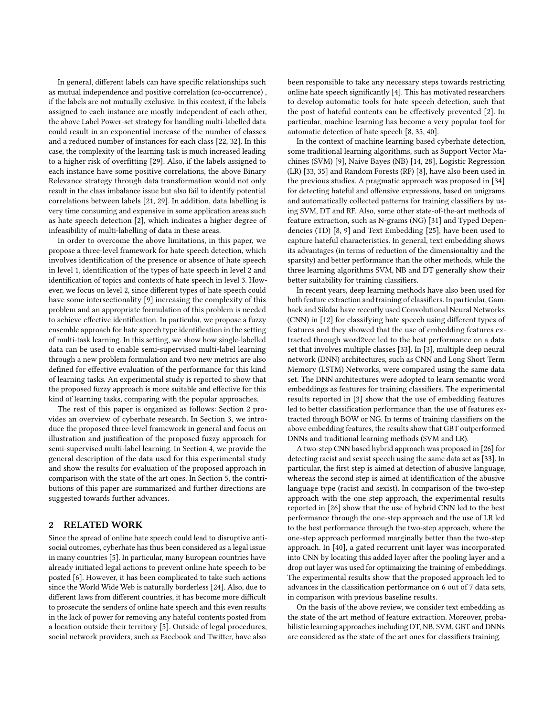In general, different labels can have specific relationships such as mutual independence and positive correlation (co-occurrence) , if the labels are not mutually exclusive. In this context, if the labels assigned to each instance are mostly independent of each other, the above Label Power-set strategy for handling multi-labelled data could result in an exponential increase of the number of classes and a reduced number of instances for each class [\[22,](#page-6-5) [32\]](#page-6-4). In this case, the complexity of the learning task is much increased leading to a higher risk of overfitting [\[29\]](#page-6-6). Also, if the labels assigned to each instance have some positive correlations, the above Binary Relevance strategy through data transformation would not only result in the class imbalance issue but also fail to identify potential correlations between labels [\[21,](#page-6-2) [29\]](#page-6-6). In addition, data labelling is very time consuming and expensive in some application areas such as hate speech detection [\[2\]](#page-6-7), which indicates a higher degree of infeasibility of multi-labelling of data in these areas.

In order to overcome the above limitations, in this paper, we propose a three-level framework for hate speech detection, which involves identification of the presence or absence of hate speech in level 1, identification of the types of hate speech in level 2 and identification of topics and contexts of hate speech in level 3. However, we focus on level 2, since different types of hate speech could have some intersectionality [\[9\]](#page-6-8) increasing the complexity of this problem and an appropriate formulation of this problem is needed to achieve effective identification. In particular, we propose a fuzzy ensemble approach for hate speech type identification in the setting of multi-task learning. In this setting, we show how single-labelled data can be used to enable semi-supervised multi-label learning through a new problem formulation and two new metrics are also defined for effective evaluation of the performance for this kind of learning tasks. An experimental study is reported to show that the proposed fuzzy approach is more suitable and effective for this kind of learning tasks, comparing with the popular approaches.

The rest of this paper is organized as follows: Section [2](#page-1-0) provides an overview of cyberhate research. In Section [3,](#page-2-0) we introduce the proposed three-level framework in general and focus on illustration and justification of the proposed fuzzy approach for semi-supervised multi-label learning. In Section [4,](#page-4-0) we provide the general description of the data used for this experimental study and show the results for evaluation of the proposed approach in comparison with the state of the art ones. In Section [5,](#page-5-0) the contributions of this paper are summarized and further directions are suggested towards further advances.

#### <span id="page-1-0"></span>2 RELATED WORK

Since the spread of online hate speech could lead to disruptive antisocial outcomes, cyberhate has thus been considered as a legal issue in many countries [\[5\]](#page-6-9). In particular, many European countries have already initiated legal actions to prevent online hate speech to be posted [\[6\]](#page-6-10). However, it has been complicated to take such actions since the World Wide Web is naturally borderless [\[24\]](#page-6-11). Also, due to different laws from different countries, it has become more difficult to prosecute the senders of online hate speech and this even results in the lack of power for removing any hateful contents posted from a location outside their territory [\[5\]](#page-6-9). Outside of legal procedures, social network providers, such as Facebook and Twitter, have also

been responsible to take any necessary steps towards restricting online hate speech significantly [\[4\]](#page-6-12). This has motivated researchers to develop automatic tools for hate speech detection, such that the post of hateful contents can be effectively prevented [\[2\]](#page-6-7). In particular, machine learning has become a very popular tool for automatic detection of hate speech [\[8,](#page-6-13) [35,](#page-6-14) [40\]](#page-6-15).

In the context of machine learning based cyberhate detection, some traditional learning algorithms, such as Support Vector Machines (SVM) [\[9\]](#page-6-8), Naive Bayes (NB) [\[14,](#page-6-16) [28\]](#page-6-17), Logistic Regression (LR) [\[33,](#page-6-18) [35\]](#page-6-14) and Random Forests (RF) [\[8\]](#page-6-13), have also been used in the previous studies. A pragmatic approach was proposed in [\[34\]](#page-6-19) for detecting hateful and offensive expressions, based on unigrams and automatically collected patterns for training classifiers by using SVM, DT and RF. Also, some other state-of-the-art methods of feature extraction, such as N-grams (NG) [\[31\]](#page-6-20) and Typed Dependencies (TD) [\[8,](#page-6-13) [9\]](#page-6-8) and Text Embedding [\[25\]](#page-6-21), have been used to capture hateful characteristics. In general, text embedding shows its advantages (in terms of reduction of the dimensionaltiy and the sparsity) and better performance than the other methods, while the three learning algorithms SVM, NB and DT generally show their better suitability for training classifiers.

In recent years, deep learning methods have also been used for both feature extraction and training of classifiers. In particular, Gamback and Sikdar have recently used Convolutional Neural Networks (CNN) in [\[12\]](#page-6-22) for classifying hate speech using different types of features and they showed that the use of embedding features extracted through word2vec led to the best performance on a data set that involves multiple classes [\[33\]](#page-6-18). In [\[3\]](#page-6-23), multiple deep neural network (DNN) architectures, such as CNN and Long Short Term Memory (LSTM) Networks, were compared using the same data set. The DNN architectures were adopted to learn semantic word embeddings as features for training classifiers. The experimental results reported in [\[3\]](#page-6-23) show that the use of embedding features led to better classification performance than the use of features extracted through BOW or NG. In terms of training classifiers on the above embedding features, the results show that GBT outperformed DNNs and traditional learning methods (SVM and LR).

A two-step CNN based hybrid approach was proposed in [\[26\]](#page-6-24) for detecting racist and sexist speech using the same data set as [\[33\]](#page-6-18). In particular, the first step is aimed at detection of abusive language, whereas the second step is aimed at identification of the abusive language type (racist and sexist). In comparison of the two-step approach with the one step approach, the experimental results reported in [\[26\]](#page-6-24) show that the use of hybrid CNN led to the best performance through the one-step approach and the use of LR led to the best performance through the two-step approach, where the one-step approach performed marginally better than the two-step approach. In [\[40\]](#page-6-15), a gated recurrent unit layer was incorporated into CNN by locating this added layer after the pooling layer and a drop out layer was used for optimaizing the training of embeddings. The experimental results show that the proposed approach led to advances in the classification performance on 6 out of 7 data sets, in comparison with previous baseline results.

On the basis of the above review, we consider text embedding as the state of the art method of feature extraction. Moreover, probabilistic learning approaches including DT, NB, SVM, GBT and DNNs are considered as the state of the art ones for classifiers training.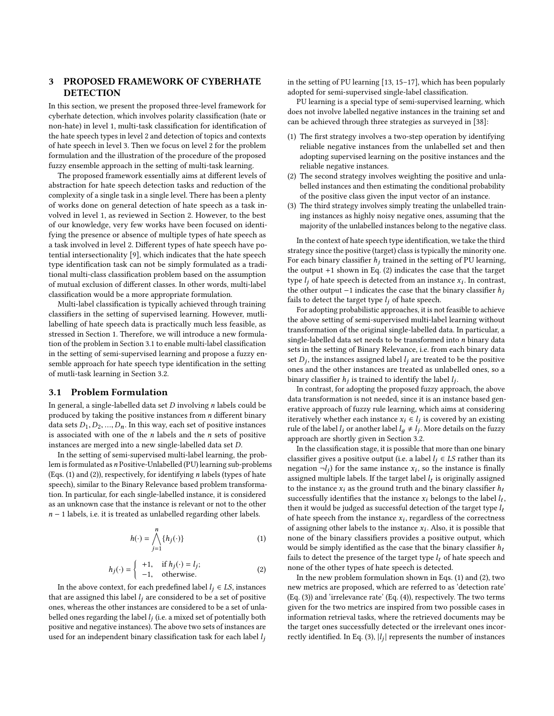# <span id="page-2-0"></span>3 PROPOSED FRAMEWORK OF CYBERHATE **DETECTION**

In this section, we present the proposed three-level framework for cyberhate detection, which involves polarity classification (hate or non-hate) in level 1, multi-task classification for identification of the hate speech types in level 2 and detection of topics and contexts of hate speech in level 3. Then we focus on level 2 for the problem formulation and the illustration of the procedure of the proposed fuzzy ensemble approach in the setting of multi-task learning.

The proposed framework essentially aims at different levels of abstraction for hate speech detection tasks and reduction of the complexity of a single task in a single level. There has been a plenty of works done on general detection of hate speech as a task involved in level 1, as reviewed in Section [2.](#page-1-0) However, to the best of our knowledge, very few works have been focused on identifying the presence or absence of multiple types of hate speech as a task involved in level 2. Different types of hate speech have potential intersectionality [\[9\]](#page-6-8), which indicates that the hate speech type identification task can not be simply formulated as a traditional multi-class classification problem based on the assumption of mutual exclusion of different classes. In other words, multi-label classification would be a more appropriate formulation.

Multi-label classification is typically achieved through training classifiers in the setting of supervised learning. However, mutlilabelling of hate speech data is practically much less feasible, as stressed in Section [1.](#page-0-0) Therefore, we will introduce a new formulation of the problem in Section [3.1](#page-2-1) to enable multi-label classification in the setting of semi-supervised learning and propose a fuzzy ensemble approach for hate speech type identification in the setting of mutli-task learning in Section [3.2.](#page-3-0)

# <span id="page-2-1"></span>3.1 Problem Formulation

In general, a single-labelled data set  $D$  involving  $n$  labels could be produced by taking the positive instances from  $n$  different binary data sets  $D_1, D_2, ..., D_n$ . In this way, each set of positive instances is associated with one of the  $n$  labels and the  $n$  sets of positive instances are merged into a new single-labelled data set D.

In the setting of semi-supervised multi-label learning, the problem is formulated as *n* Positive-Unlabelled (PU) learning sub-problems (Eqs.  $(1)$  and  $(2)$ ), respectively, for identifying *n* labels (types of hate speech), similar to the Binary Relevance based problem transformation. In particular, for each single-labelled instance, it is considered as an unknown case that the instance is relevant or not to the other  $n - 1$  labels, i.e. it is treated as unlabelled regarding other labels.

<span id="page-2-2"></span>
$$
h(\cdot) = \bigwedge_{j=1}^{n} \{h_j(\cdot)\} \tag{1}
$$

$$
h_j(\cdot) = \begin{cases} +1, & \text{if } h_j(\cdot) = l_j; \\ -1, & \text{otherwise.} \end{cases}
$$
 (2)

<span id="page-2-3"></span>In the above context, for each predefined label  $l_j \in LS$ , instances it are assigned this label  $l_j$  are considered to be a set of positive that are assigned this label  $l_i$  are considered to be a set of positive ones, whereas the other instances are considered to be a set of unlabelled ones regarding the label  $l_j$  (i.e. a mixed set of potentially both positive and perstine instances). The above two sets of instances are positive and negative instances). The above two sets of instances are used for an independent binary classification task for each label  $l_i$ 

in the setting of PU learning [\[13,](#page-6-25) [15–](#page-6-26)[17\]](#page-6-27), which has been popularly adopted for semi-supervised single-label classification.

PU learning is a special type of semi-supervised learning, which does not involve labelled negative instances in the training set and can be achieved through three strategies as surveyed in [\[38\]](#page-6-28):

- (1) The first strategy involves a two-step operation by identifying reliable negative instances from the unlabelled set and then adopting supervised learning on the positive instances and the reliable negative instances.
- (2) The second strategy involves weighting the positive and unlabelled instances and then estimating the conditional probability of the positive class given the input vector of an instance.
- (3) The third strategy involves simply treating the unlabelled training instances as highly noisy negative ones, assuming that the majority of the unlabelled instances belong to the negative class.

In the context of hate speech type identification, we take the third strategy since the positive (target) class is typically the minority one. For each binary classifier  $h_i$  trained in the setting of PU learning, the output +1 shown in Eq. [\(2\)](#page-2-3) indicates the case that the target type  $l_j$  of hate speech is detected from an instance  $x_i$ . In contrast, the other output  $-1$  indicates the case that the binary classifier h the other output −1 indicates the case that the binary classifier  $h_i$ fails to detect the target type  $l_i$  of hate speech.

For adopting probabilistic approaches, it is not feasible to achieve the above setting of semi-supervised multi-label learning without transformation of the original single-labelled data. In particular, a single-labelled data set needs to be transformed into n binary data sets in the setting of Binary Relevance, i.e. from each binary data set  $D_j$ , the instances assigned label  $l_j$  are treated to be the positive<br>ones and the other instances are treated as unlabelled ones so a ones and the other instances are treated as unlabelled ones, so a binary classifier  $h_j$  is trained to identify the label  $l_j$ .<br>In contrast, for adopting the proposed fuzzy appro

In contrast, for adopting the proposed fuzzy approach, the above data transformation is not needed, since it is an instance based generative approach of fuzzy rule learning, which aims at considering iteratively whether each instance  $x_i \in l_j$  is covered by an existing<br>rule of the label L or another label  $l_i \neq l_j$ . More details on the fuzzy rule of the label  $l_j$  or another label  $l_g \neq l_j$ . More details on the fuzzy approach are shortly given in Section [3.2.](#page-3-0)

In the classification stage, it is possible that more than one binary classifier gives a positive output (i.e. a label  $l_i \in LS$  rather than its negation  $\neg l_j$ ) for the same instance  $x_i$ , so the instance is finally<br>assigned multiple labels. If the target label *l*, is originally assigned assigned multiple labels. If the target label  $l_t$  is originally assigned<br>to the instance x; as the ground truth and the binary classifier hy to the instance  $\boldsymbol{x_i}$  as the ground truth and the binary classifier  $\boldsymbol{h_t}$ successfully identifies that the instance  $x_i$  belongs to the label  $l_t$ , then it would be judged as successful detection of the target type  $l_t$ . then it would be judged as successful detection of the target type  $l_t$ of hate speech from the instance  $x_i$ , regardless of the correctness<br>of assigning other labels to the instance  $x_i$ . Also, it is possible that of assigning other labels to the instance  $x_i$ . Also, it is possible that none of the binary classifiers provides a positive output, which none of the binary classifiers provides a positive output, which would be simply identified as the case that the binary classifier  $h_t$ fails to detect the presence of the target type  $l_t$  of hate speech and none of the other types of hate speech is detected.

In the new problem formulation shown in Eqs. [\(1\)](#page-2-2) and [\(2\)](#page-2-3), two new metrics are proposed, which are referred to as 'detection rate' (Eq. [\(3\)](#page-3-1)) and 'irrelevance rate' (Eq. [\(4\)](#page-3-2)), respectively. The two terms given for the two metrics are inspired from two possible cases in information retrieval tasks, where the retrieved documents may be the target ones successfully detected or the irrelevant ones incor-rectly identified. In Eq. [\(3\)](#page-3-1),  $|l_j|$  represents the number of instances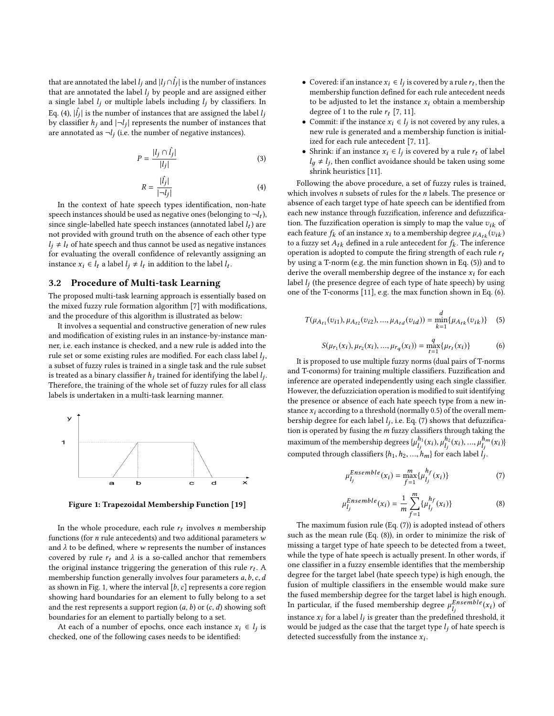that are annotated the label  $l_j$  and  $|l_j \cap \hat{l}_j|$  is the number of instances that are annotated the label  $l_j$  by neonle and are assigned either that are annotated the label  $l_j$  by people and are assigned either<br>a single label  $l_j$  or multiple labels including  $l_j$  by classifiers. In a single label  $l_i$  or multiple labels including  $l_i$  by classifiers. In Eq. [\(4\)](#page-3-2),  $|\hat{l}_j|$  is the number of instances that are assigned the label  $l_j$ <br>by clossifier  $h_j$  and  $|l_j|$  represents the number of instances that  $\left| \left( \frac{1}{2} \right) \right|$  represents the number of instances that<br>by classifier  $h_j$  and  $\left| -l_j \right|$  represents the number of instances that are annotated as  $\neg l_j$  (i.e. the number of negative instances).

<span id="page-3-1"></span>
$$
P = \frac{|l_j \cap \hat{l}_j|}{|l_j|} \tag{3}
$$

<span id="page-3-2"></span>
$$
R = \frac{|\hat{l}_j|}{|\neg l_j|} \tag{4}
$$

In the context of hate speech types identification, non-hate speech instances should be used as negative ones (belonging to  $\neg l_t$ ),<br>since single-labelled hate speech instances (appotated label L) are since single-labelled hate speech instances (annotated label  $l_t$ ) are<br>not provided with ground truth on the absence of each other type not provided with ground truth on the absence of each other type  $l_i \neq l_t$  of hate speech and thus cannot be used as negative instances for evaluating the overall confidence of relevantly assigning an instance  $x_i \in l_t$  a label  $l_j \neq l_t$  in addition to the label  $l_t$ .

#### <span id="page-3-0"></span>3.2 Procedure of Multi-task Learning

The proposed multi-task learning approach is essentially based on the mixed fuzzy rule formation algorithm [\[7\]](#page-6-29) with modifications, and the procedure of this algorithm is illustrated as below:

It involves a sequential and constructive generation of new rules and modification of existing rules in an instance-by-instance manner, i.e. each instance is checked, and a new rule is added into the rule set or some existing rules are modified. For each class label  $l_j$ ,<br>a subset of fuzzy rules is trained in a single task and the rule subset a subset of fuzzy rules is trained in a single task and the rule subset is treated as a binary classifier  $h_j$  trained for identifying the label  $l_j$ .<br>Therefore, the training of the whole set of fuzzy rules for all class Therefore, the training of the whole set of fuzzy rules for all class labels is undertaken in a multi-task learning manner.

<span id="page-3-3"></span>

Figure 1: Trapezoidal Membership Function [\[19\]](#page-6-30)

In the whole procedure, each rule  $r_t$  involves *n* membership<br>octions (for *n* rule antecedents) and two additional parameters w functions (for  $n$  rule antecedents) and two additional parameters  $w$ and  $\lambda$  to be defined, where w represents the number of instances covered by rule  $r_t$  and  $\lambda$  is a so-called anchor that remembers the original instance triggering the generation of this rule  $r_t$ . A membership function generally involves four parameters a h c d membership function generally involves four parameters  $a, b, c, d$ as shown in Fig. [1,](#page-3-3) where the interval  $[b, c]$  represents a core region showing hard boundaries for an element to fully belong to a set and the rest represents a support region  $(a, b)$  or  $(c, d)$  showing soft boundaries for an element to partially belong to a set.

At each of a number of epochs, once each instance  $x_i \in l_j$  is sected one of the following cases needs to be identified. checked, one of the following cases needs to be identified:

- Covered: if an instance  $x_i \in l_j$  is covered by a rule  $r_t$ , then the membership function defined for each rule antecedent needs membership function defined for each rule antecedent needs to be adjusted to let the instance  $x_i$  obtain a membership degree of 1 to the rule  $r_t$  [\[7,](#page-6-29) [11\]](#page-6-31).
- Commit: if the instance  $x_i \in l_j$  is not covered by any rules, a new rule is generated and a membership function is initial. new rule is generated and a membership function is initialized for each rule antecedent [\[7,](#page-6-29) [11\]](#page-6-31).
- Shrink: if an instance  $x_i \in l_j$  is covered by a rule  $r_t$  of label  $l + l$ : then conflict avoidance should be taken using some  $l_g \neq l_j$ , then conflict avoidance should be taken using some<br>shripk hauristics [11] shrink heuristics [\[11\]](#page-6-31).

Following the above procedure, a set of fuzzy rules is trained, which involves  $n$  subsets of rules for the  $n$  labels. The presence or absence of each target type of hate speech can be identified from each new instance through fuzzification, inference and defuzzification. The fuzzification operation is simply to map the value  $v_{ik}$  of each feature  $f_k$  of an instance  $x_i$  to a membership degree  $\mu_{A_{tk}}(v_{ik})$ to a fuzzy set  $A_{tk}$  defined in a rule antecedent for  $f_k$ . The inference<br>operation is adopted to compute the firing strength of each rule  $r_k$ . operation is adopted to compute the firing strength of each rule  $r_t$ by using a T-norm (e.g. the min function shown in Eq. [\(5\)](#page-3-4)) and to derive the overall membership degree of the instance  $x_i$  for each label  $l_j$  (the presence degree of each type of hate speech) by using<br>one of the E-conorms [11], e.g. the may function shown in Eq. (6) one of the T-conorms [\[11\]](#page-6-31), e.g. the max function shown in Eq. [\(6\)](#page-3-5).

<span id="page-3-4"></span>
$$
T(\mu_{A_{t1}}(v_{i1}), \mu_{A_{t2}}(v_{i2}), ..., \mu_{A_{td}}(v_{id})) = \min_{k=1}^{d} {\mu_{A_{tk}}(v_{ik})}
$$
 (5)

<span id="page-3-5"></span>
$$
S(\mu_{r_1}(x_i), \mu_{r_2}(x_i), ..., \mu_{r_q}(x_i)) = \max_{t=1}^q \{\mu_{r_t}(x_i)\}
$$
 (6)  
It is proposed to use multiple fuzzy norms (dual pairs of T-norms

and T-conorms) for training multiple classifiers. Fuzzification and inference are operated independently using each single classifier. However, the defuzziciation operation is modified to suit identifying the presence or absence of each hate speech type from a new instance  $x_i$  according to a threshold (normally 0.5) of the overall membership degree for each label  $l_j$ , i.e. Eq. [\(7\)](#page-3-6) shows that defuzzifica-<br>tion is operated by fusing the m fuzzy closeifiers through taking the tion is operated by fusing the  $m$  fuzzy classifiers through taking the  $\,$ maximum of the membership degrees  $\{\mu_{l}^{h_1}\}$  $\frac{h_1}{l_j}(x_i), \mu_{l_j}^{h_2}$  $\mu_1^{n_2}(x_i), ..., \mu_{l_j}^{n_m}$  $\frac{h_m}{l_j}(x_i)$ }<br>*l*, computed through classifiers  $\{h_1, h_2, ..., h_m\}$  for each label  $l_j$ .

<span id="page-3-6"></span>
$$
\mu_{l_j}^{Ensemble}(x_i) = \max_{f=1}^{m} \{ \mu_{l_j}^{h_f}(x_i) \}
$$
\n(7)

<span id="page-3-7"></span>
$$
\mu_{l_j}^{Ensemble}(x_i) = \frac{1}{m} \sum_{f=1}^{m} \{\mu_{l_j}^{h_f}(x_i)\}
$$
(8)

 $\int_{f=1}^{f=1}$  The maximum fusion rule (Eq. [\(7\)](#page-3-6)) is adopted instead of others such as the mean rule (Eq. [\(8\)](#page-3-7)), in order to minimize the risk of missing a target type of hate speech to be detected from a tweet, while the type of hate speech is actually present. In other words, if one classifier in a fuzzy ensemble identifies that the membership degree for the target label (hate speech type) is high enough, the fusion of multiple classifiers in the ensemble would make sure the fused membership degree for the target label is high enough. In particular, if the fused membership degree  $\mu_{l_j}^{Ensemble}(x_i)$  of instance  $x_i$  for a label  $l_j$  is greater than the predefined threshold, it would be judged as the case that the target type  $l_i$  of hate speech is detected successfully from the instance  $x_i$ .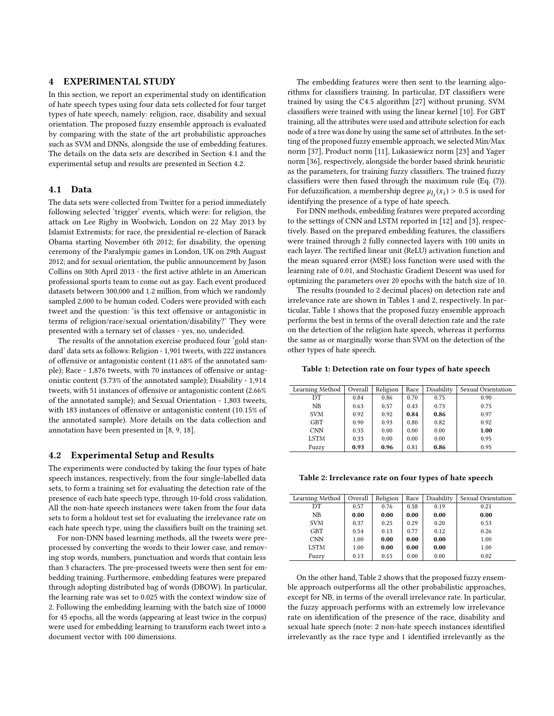# <span id="page-4-0"></span>4 EXPERIMENTAL STUDY

In this section, we report an experimental study on identification of hate speech types using four data sets collected for four target types of hate speech, namely: religion, race, disability and sexual orientation. The proposed fuzzy ensemble approach is evaluated by comparing with the state of the art probabilistic approaches such as SVM and DNNs, alongside the use of embedding features. The details on the data sets are described in Section [4.1](#page-4-1) and the experimental setup and results are presented in Section [4.2.](#page-4-2)

#### <span id="page-4-1"></span>4.1 Data

The data sets were collected from Twitter for a period immediately following selected 'trigger' events, which were: for religion, the attack on Lee Rigby in Woolwich, London on 22 May 2013 by Islamist Extremists; for race, the presidential re-election of Barack Obama starting November 6th 2012; for disability, the opening ceremony of the Paralympic games in London, UK on 29th August 2012; and for sexual orientation, the public announcement by Jason Collins on 30th April 2013 - the first active athlete in an American professional sports team to come out as gay. Each event produced datasets between 300,000 and 1.2 million, from which we randomly sampled 2,000 to be human coded. Coders were provided with each tweet and the question: 'is this text offensive or antagonistic in terms of religion/race/sexual orientation/disability?' They were presented with a ternary set of classes - yes, no, undecided.

The results of the annotation exercise produced four 'gold standard' data sets as follows: Religion - 1,901 tweets, with 222 instances of offensive or antagonistic content (11.68% of the annotated sample); Race - 1,876 tweets, with 70 instances of offensive or antagonistic content (3.73% of the annotated sample); Disability - 1,914 tweets, with 51 instances of offensive or antagonistic content (2.66% of the annotated sample); and Sexual Orientation - 1,803 tweets, with 183 instances of offensive or antagonistic content (10.15% of the annotated sample). More details on the data collection and annotation have been presented in [\[8,](#page-6-13) [9,](#page-6-8) [18\]](#page-6-32).

#### <span id="page-4-2"></span>4.2 Experimental Setup and Results

The experiments were conducted by taking the four types of hate speech instances, respectively, from the four single-labelled data sets, to form a training set for evaluating the detection rate of the presence of each hate speech type, through 10-fold cross validation. All the non-hate speech instances were taken from the four data sets to form a holdout test set for evaluating the irrelevance rate on each hate speech type, using the classifiers built on the training set.

For non-DNN based learning methods, all the tweets were preprocessed by converting the words to their lower case, and removing stop words, numbers, punctuation and words that contain less than 3 characters. The pre-processed tweets were then sent for embedding training. Furthermore, embedding features were prepared through adopting distributed bag of words (DBOW). In particular, the learning rate was set to 0.025 with the context window size of 2. Following the embedding learning with the batch size of 10000 for 45 epochs, all the words (appearing at least twice in the corpus) were used for embedding learning to transform each tweet into a document vector with 100 dimensions.

The embedding features were then sent to the learning algorithms for classifiers training. In particular, DT classifiers were trained by using the C4.5 algorithm [\[27\]](#page-6-33) without pruning. SVM classifiers were trained with using the linear kernel [\[10\]](#page-6-34). For GBT training, all the attributes were used and attribute selection for each node of a tree was done by using the same set of attributes. In the setting of the proposed fuzzy ensemble approach, we selected Min/Max norm [\[37\]](#page-6-35), Product norm [\[11\]](#page-6-31), Lukasiewicz norm [\[23\]](#page-6-36) and Yager norm [\[36\]](#page-6-37), respectively, alongside the border based shrink heuristic as the parameters, for training fuzzy classifiers. The trained fuzzy classifiers were then fused through the maximum rule (Eq. [\(7\)](#page-3-6)). For defuzzification, a membership degree  $\mu_j(x_i) > 0.5$  is used for identifying the presence of a type of hate speech identifying the presence of a type of hate speech.

For DNN methods, embedding features were prepared according to the settings of CNN and LSTM reported in [\[12\]](#page-6-22) and [\[3\]](#page-6-23), respectively. Based on the prepared embedding features, the classifiers were trained through 2 fully connected layers with 100 units in each layer. The rectified linear unit (ReLU) activation function and the mean squared error (MSE) loss function were used with the learning rate of 0.01, and Stochastic Gradient Descent was used for optimizing the parameters over 20 epochs with the batch size of 10.

The results (rounded to 2 decimal places) on detection rate and irrelevance rate are shown in Tables [1](#page-4-3) and [2,](#page-4-4) respectively. In particular, Table [1](#page-4-3) shows that the proposed fuzzy ensemble approach performs the best in terms of the overall detection rate and the rate on the detection of the religion hate speech, whereas it performs the same as or marginally worse than SVM on the detection of the other types of hate speech.

<span id="page-4-3"></span>Table 1: Detection rate on four types of hate speech

| Learning Method | Overall | Religion | Race | Disability | Sexual Orientation |
|-----------------|---------|----------|------|------------|--------------------|
| DT              | 0.84    | 0.86     | 0.70 | 0.75       | 0.90               |
| NB              | 0.63    | 0.57     | 0.43 | 0.73       | 0.75               |
| <b>SVM</b>      | 0.92    | 0.92     | 0.84 | 0.86       | 0.97               |
| <b>GBT</b>      | 0.90    | 0.93     | 0.80 | 0.82       | 0.92               |
| <b>CNN</b>      | 0.35    | 0.00     | 0.00 | 0.00       | 1.00               |
| <b>LSTM</b>     | 0.33    | 0.00     | 0.00 | 0.00       | 0.95               |
| Fuzzy           | 0.93    | 0.96     | 0.81 | 0.86       | 0.95               |
|                 |         |          |      |            |                    |

<span id="page-4-4"></span>Table 2: Irrelevance rate on four types of hate speech

| Learning Method | Overall | Religion | Race | Disability | Sexual Orientation |
|-----------------|---------|----------|------|------------|--------------------|
| DТ              | 0.57    | 0.76     | 0.58 | 0.19       | 0.21               |
| <b>NB</b>       | 0.00    | 0.00     | 0.00 | 0.00       | 0.00               |
| <b>SVM</b>      | 0.37    | 0.25     | 0.29 | 0.20       | 0.53               |
| <b>GBT</b>      | 0.54    | 0.13     | 0.77 | 0.12       | 0.26               |
| <b>CNN</b>      | 1.00    | 0.00     | 0.00 | 0.00       | 1.00               |
| <b>LSTM</b>     | 1.00    | 0.00     | 0.00 | 0.00       | 1.00               |
| Fuzzy           | 0.13    | 0.15     | 0.00 | 0.00       | 0.02               |

On the other hand, Table [2](#page-4-4) shows that the proposed fuzzy ensemble approach outperforms all the other probabilistic approaches, except for NB, in terms of the overall irrelevance rate. In particular, the fuzzy approach performs with an extremely low irrelevance rate on identification of the presence of the race, disability and sexual hate speech (note: 2 non-hate speech instances identified irrelevantly as the race type and 1 identified irrelevantly as the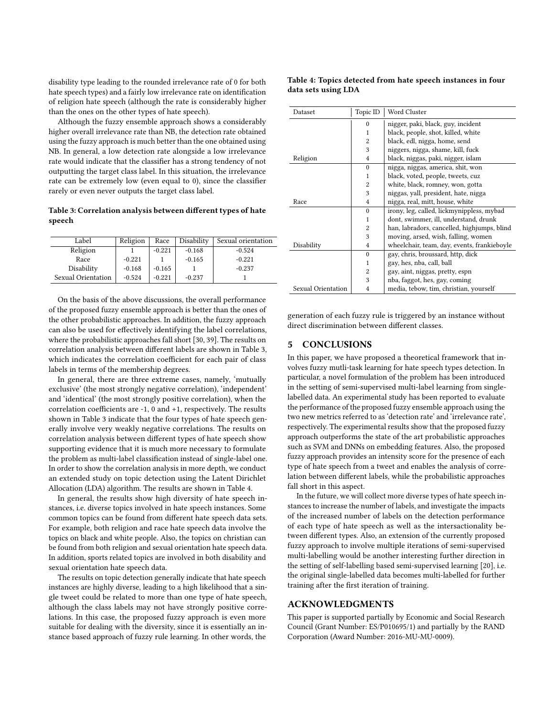disability type leading to the rounded irrelevance rate of 0 for both hate speech types) and a fairly low irrelevance rate on identification of religion hate speech (although the rate is considerably higher than the ones on the other types of hate speech).

Although the fuzzy ensemble approach shows a considerably higher overall irrelevance rate than NB, the detection rate obtained using the fuzzy approach is much better than the one obtained using NB. In general, a low detection rate alongside a low irrelevance rate would indicate that the classifier has a strong tendency of not outputting the target class label. In this situation, the irrelevance rate can be extremely low (even equal to 0), since the classifier rarely or even never outputs the target class label.

# <span id="page-5-1"></span>Table 3: Correlation analysis between different types of hate speech

| Label              | Religion | Race     | Disability | Sexual orientation |
|--------------------|----------|----------|------------|--------------------|
| Religion           |          | $-0.221$ | $-0.168$   | $-0.524$           |
| Race               | $-0.221$ |          | $-0.165$   | $-0.221$           |
| Disability         | $-0.168$ | $-0.165$ |            | $-0.237$           |
| Sexual Orientation | $-0.524$ | $-0.221$ | $-0.237$   |                    |

On the basis of the above discussions, the overall performance of the proposed fuzzy ensemble approach is better than the ones of the other probabilistic approaches. In addition, the fuzzy approach can also be used for effectively identifying the label correlations, where the probabilistic approaches fall short [\[30,](#page-6-38) [39\]](#page-6-3). The results on correlation analysis between different labels are shown in Table [3,](#page-5-1) which indicates the correlation coefficient for each pair of class labels in terms of the membership degrees.

In general, there are three extreme cases, namely, 'mutually exclusive' (the most strongly negative correlation), 'independent' and 'identical' (the most strongly positive correlation), when the correlation coefficients are -1, 0 and +1, respectively. The results shown in Table [3](#page-5-1) indicate that the four types of hate speech generally involve very weakly negative correlations. The results on correlation analysis between different types of hate speech show supporting evidence that it is much more necessary to formulate the problem as multi-label classification instead of single-label one. In order to show the correlation analysis in more depth, we conduct an extended study on topic detection using the Latent Dirichlet Allocation (LDA) algorithm. The results are shown in Table [4.](#page-5-2)

In general, the results show high diversity of hate speech instances, i.e. diverse topics involved in hate speech instances. Some common topics can be found from different hate speech data sets. For example, both religion and race hate speech data involve the topics on black and white people. Also, the topics on christian can be found from both religion and sexual orientation hate speech data. In addition, sports related topics are involved in both disability and sexual orientation hate speech data.

The results on topic detection generally indicate that hate speech instances are highly diverse, leading to a high likelihood that a single tweet could be related to more than one type of hate speech, although the class labels may not have strongly positive correlations. In this case, the proposed fuzzy approach is even more suitable for dealing with the diversity, since it is essentially an instance based approach of fuzzy rule learning. In other words, the

#### <span id="page-5-2"></span>Table 4: Topics detected from hate speech instances in four data sets using LDA

| Dataset            | Topic ID       | Word Cluster                                |
|--------------------|----------------|---------------------------------------------|
|                    | $\theta$       | nigger, paki, black, guy, incident          |
|                    | 1              | black, people, shot, killed, white          |
|                    | $\overline{c}$ | black, edl, nigga, home, send               |
|                    | 3              | niggers, nigga, shame, kill, fuck           |
| Religion           | $\overline{4}$ | black, niggas, paki, nigger, islam          |
|                    | $\theta$       | nigga, niggas, america, shit, won           |
|                    | 1              | black, voted, people, tweets, cuz           |
|                    | $\overline{c}$ | white, black, romney, won, gotta            |
|                    | 3              | niggas, yall, president, hate, nigga        |
| Race               | $\overline{4}$ | nigga, real, mitt, house, white             |
|                    | $\theta$       | irony, leg, called, lickmynippless, mybad   |
|                    | 1              | dont, swimmer, ill, understand, drunk       |
|                    | $\overline{c}$ | han, labradors, cancelled, highjumps, blind |
|                    | 3              | moving, arsed, wish, falling, women         |
| Disability         | $\overline{4}$ | wheelchair, team, day, events, frankieboyle |
|                    | $\theta$       | gay, chris, broussard, http, dick           |
|                    | 1              | gay, hes, nba, call, ball                   |
|                    | $\overline{2}$ | gay, aint, niggas, pretty, espn             |
|                    | 3              | nba, faggot, hes, gay, coming               |
| Sexual Orientation | 4              | media, tebow, tim, christian, yourself      |

generation of each fuzzy rule is triggered by an instance without direct discrimination between different classes.

#### <span id="page-5-0"></span>5 CONCLUSIONS

In this paper, we have proposed a theoretical framework that involves fuzzy mutli-task learning for hate speech types detection. In particular, a novel formulation of the problem has been introduced in the setting of semi-supervised multi-label learning from singlelabelled data. An experimental study has been reported to evaluate the performance of the proposed fuzzy ensemble approach using the two new metrics referred to as 'detection rate' and 'irrelevance rate', respectively. The experimental results show that the proposed fuzzy approach outperforms the state of the art probabilistic approaches such as SVM and DNNs on embedding features. Also, the proposed fuzzy approach provides an intensity score for the presence of each type of hate speech from a tweet and enables the analysis of correlation between different labels, while the probabilistic approaches fall short in this aspect.

In the future, we will collect more diverse types of hate speech instances to increase the number of labels, and investigate the impacts of the increased number of labels on the detection performance of each type of hate speech as well as the intersactionality between different types. Also, an extension of the currently proposed fuzzy approach to involve multiple iterations of semi-supervised multi-labelling would be another interesting further direction in the setting of self-labelling based semi-supervised learning [\[20\]](#page-6-39), i.e. the original single-labelled data becomes multi-labelled for further training after the first iteration of training.

# ACKNOWLEDGMENTS

This paper is supported partially by Economic and Social Research Council (Grant Number: ES/P010695/1) and partially by the RAND Corporation (Award Number: 2016-MU-MU-0009).